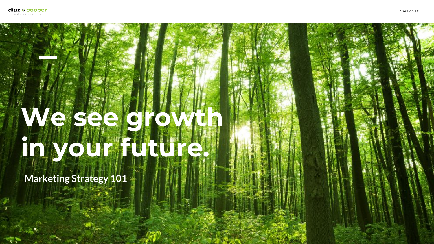## **We see growth in your future.**

**Marketing Strategy 101**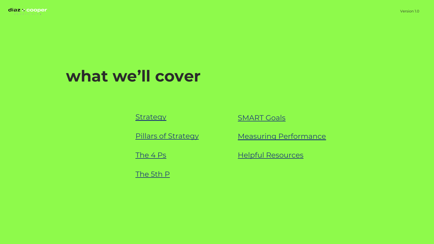

#### **what we'll cover**

**[Strategy](#page-4-0)** [Pillars of Strategy](#) [The 4 Ps](#) **[SMART Goals](#page-14-0) [Helpful Resources](#)** [Measuring Performance](#page-14-0) [The 5th P](#page-14-0)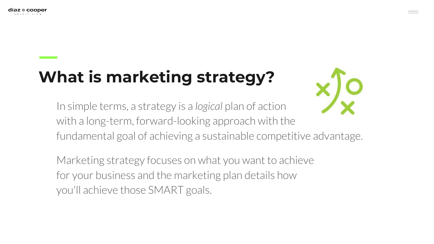## <span id="page-2-0"></span>**What is marketing strategy?**



In simple terms, a strategy is a *logical* plan of action with a long-term, forward-looking approach with the fundamental goal of achieving a sustainable competitive advantage.

Marketing strategy focuses on what you want to achieve for your business and the marketing plan details how you'll achieve those SMART goals.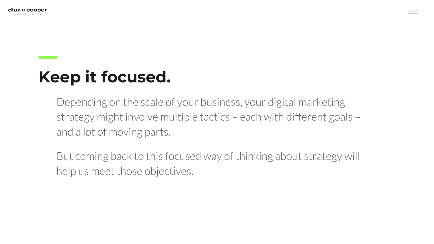

### **Keep it focused.**

Depending on the scale of your business, your digital marketing strategy might involve multiple tactics – each with different goals – and a lot of moving parts.

But coming back to this focused way of thinking about strategy will help us meet those objectives.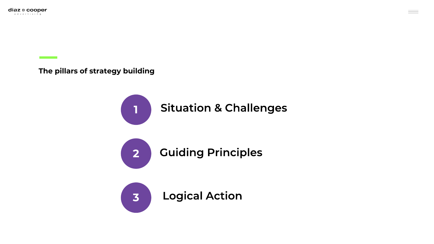<span id="page-4-0"></span>**The pillars of strategy building**



 $\equiv -$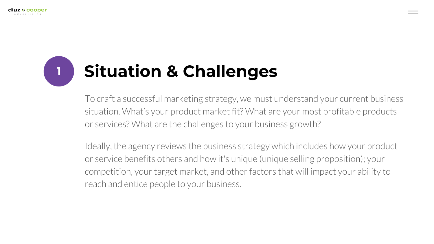## **<sup>1</sup> Situation & Challenges**

To craft a successful marketing strategy, we must understand your current business situation. What's your product market fit? What are your most profitable products or services? What are the challenges to your business growth?

Ideally, the agency reviews the business strategy which includes how your product or service benefits others and how it's unique (unique selling proposition); your competition, your target market, and other factors that will impact your ability to reach and entice people to your business.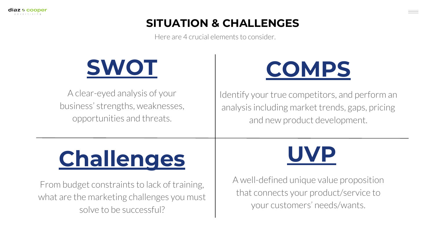#### **SITUATION & CHALLENGES**

Here are 4 crucial elements to consider.



A clear-eyed analysis of your business' strengths, weaknesses, opportunities and threats.



Identify your true competitors, and perform an analysis including market trends, gaps, pricing and new product development.

## **[Challenges](https://blog.hubspot.com/blog/tabid/6307/bid/33820/5-Major-Challenges-Marketers-Face-And-How-to-Solve-Them.aspx)**

From budget constraints to lack of training, what are the marketing challenges you must solve to be successful?



A well-defined unique value proposition that connects your product/service to your customers' needs/wants.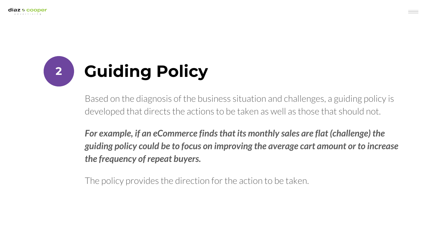

Based on the diagnosis of the business situation and challenges, a guiding policy is developed that directs the actions to be taken as well as those that should not.

*For example, if an eCommerce finds that its monthly sales are flat (challenge) the guiding policy could be to focus on improving the average cart amount or to increase the frequency of repeat buyers.*

The policy provides the direction for the action to be taken.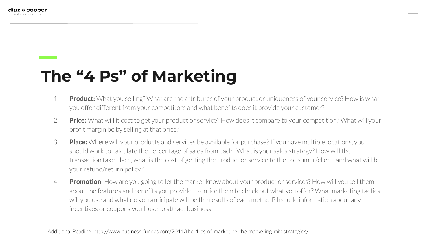### <span id="page-8-0"></span>**The "4 Ps" of Marketing**

- 1. **Product:** What you selling? What are the attributes of your product or uniqueness of your service? How is what you offer different from your competitors and what benefits does it provide your customer?
- 2. **Price:** What will it cost to get your product or service? How does it compare to your competition? What will your profit margin be by selling at that price?
- 3. **Place:** Where will your products and services be available for purchase? If you have multiple locations, you should work to calculate the percentage of sales from each. What is your sales strategy? How will the transaction take place, what is the cost of getting the product or service to the consumer/client, and what will be your refund/return policy?
- 4. **Promotion**: How are you going to let the market know about your product or services? How will you tell them about the features and benefits you provide to entice them to check out what you offer? What marketing tactics will you use and what do you anticipate will be the results of each method? Include information about any incentives or coupons you'll use to attract business.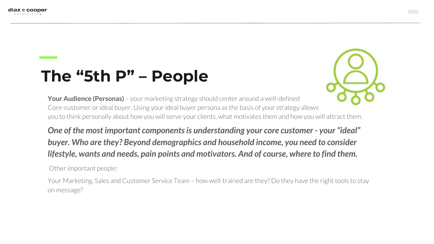### <span id="page-9-0"></span>**The "5th P" – People**



**Your Audience (Personas)** – your marketing strategy should center around a well-defined Core-customer or ideal buyer. Using your ideal buyer persona as the basis of your strategy allows you to think personally about how you will serve your clients, what motivates them and how you will attract them.

*One of the most important components is understanding your core customer - your "ideal" buyer. Who are they? Beyond demographics and household income, you need to consider lifestyle, wants and needs, pain points and motivators. And of course, where to find them.*

Other important people:

Your Marketing, Sales and Customer Service Team – how well-trained are they? Do they have the right tools to stay on message?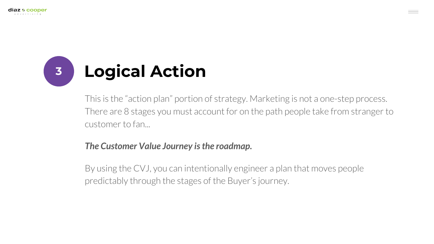

This is the "action plan" portion of strategy. Marketing is not a one-step process. There are 8 stages you must account for on the path people take from stranger to customer to fan...

#### *The Customer Value Journey is the roadmap.*

By using the CVJ, you can intentionally engineer a plan that moves people predictably through the stages of the Buyer's journey.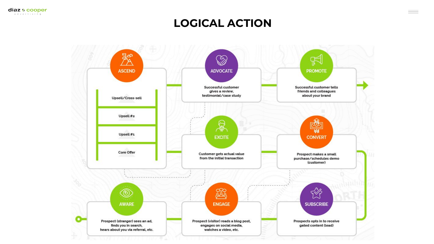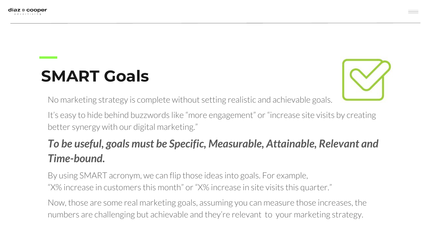#### <span id="page-12-0"></span>**SMART Goals**



No marketing strategy is complete without setting realistic and achievable goals.

It's easy to hide behind buzzwords like "more engagement" or "increase site visits by creating better synergy with our digital marketing."

#### *To be useful, goals must be Specific, Measurable, Attainable, Relevant and Time-bound.*

By using SMART acronym, we can flip those ideas into goals. For example, "X% increase in customers this month" or "X% increase in site visits this quarter."

Now, those are some real marketing goals, assuming you can measure those increases, the numbers are challenging but achievable and they're relevant to your marketing strategy.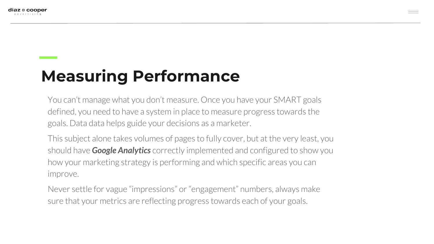<span id="page-13-0"></span>

## **Measuring Performance**

You can't manage what you don't measure. Once you have your SMART goals defined, you need to have a system in place to measure progress towards the goals. Data data helps guide your decisions as a marketer.

This subject alone takes volumes of pages to fully cover, but at the very least, you should have *Google Analytics* correctly implemented and configured to show you how your marketing strategy is performing and which specific areas you can improve.

Never settle for vague "impressions" or "engagement" numbers, always make sure that your metrics are reflecting progress towards each of your goals.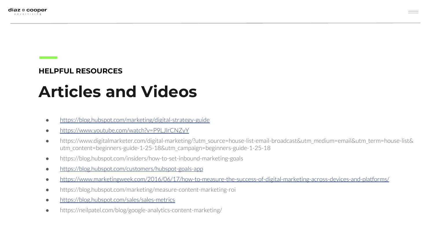#### <span id="page-14-0"></span>**HELPFUL RESOURCES**

### **Articles and Videos**

- <https://blog.hubspot.com/marketing/digital-strategy-guide>
- <https://www.youtube.com/watch?v=P9LJlrCNZyY>
- https://www.digitalmarketer.com/digital-marketing/?utm\_source=house-list-email-broadcast&utm\_medium=email&utm\_term=house-list& utm\_content=beginners-guide-1-25-18&utm\_campaign=beginners-guide-1-25-18
- https://blog.hubspot.com/insiders/how-to-set-inbound-marketing-goals
- <https://blog.hubspot.com/customers/hubspot-goals-app>
- <https://www.marketingweek.com/2016/06/17/how-to-measure-the-success-of-digital-marketing-across-devices-and-platforms/>
- https://blog.hubspot.com/marketing/measure-content-marketing-roi
- <https://blog.hubspot.com/sales/sales-metrics>
- https://neilpatel.com/blog/google-analytics-content-marketing/